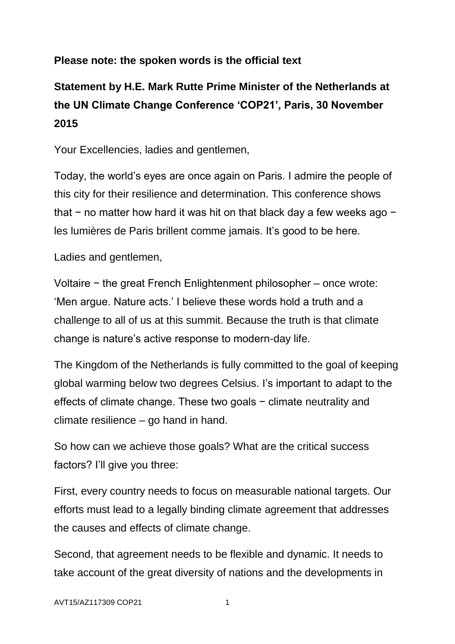## **Please note: the spoken words is the official text**

## **Statement by H.E. Mark Rutte Prime Minister of the Netherlands at the UN Climate Change Conference 'COP21', Paris, 30 November 2015**

Your Excellencies, ladies and gentlemen,

Today, the world's eyes are once again on Paris. I admire the people of this city for their resilience and determination. This conference shows that − no matter how hard it was hit on that black day a few weeks ago − les lumières de Paris brillent comme jamais. It's good to be here.

Ladies and gentlemen,

Voltaire − the great French Enlightenment philosopher – once wrote: 'Men argue. Nature acts.' I believe these words hold a truth and a challenge to all of us at this summit. Because the truth is that climate change is nature's active response to modern-day life.

The Kingdom of the Netherlands is fully committed to the goal of keeping global warming below two degrees Celsius. I's important to adapt to the effects of climate change. These two goals − climate neutrality and climate resilience – go hand in hand.

So how can we achieve those goals? What are the critical success factors? I'll give you three:

First, every country needs to focus on measurable national targets. Our efforts must lead to a legally binding climate agreement that addresses the causes and effects of climate change.

Second, that agreement needs to be flexible and dynamic. It needs to take account of the great diversity of nations and the developments in